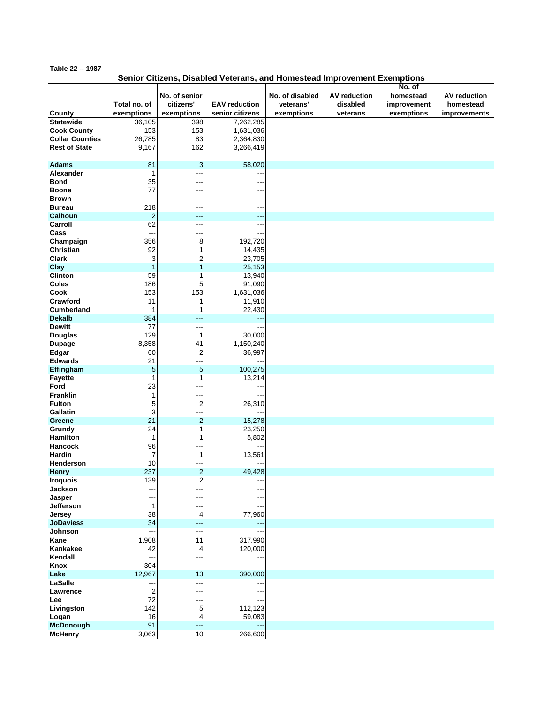## **Table 22 -- 1987**

## **Senior Citizens, Disabled Veterans, and Homestead Improvement Exemptions**

|                            |                  |                            |                      |                              |                          | No. of      |                     |
|----------------------------|------------------|----------------------------|----------------------|------------------------------|--------------------------|-------------|---------------------|
|                            | Total no. of     | No. of senior<br>citizens' | <b>EAV</b> reduction | No. of disabled<br>veterans' | AV reduction<br>disabled | homestead   | <b>AV</b> reduction |
|                            |                  |                            |                      |                              |                          | improvement | homestead           |
| County                     | exemptions       | exemptions                 | senior citizens      | exemptions                   | veterans                 | exemptions  | improvements        |
| <b>Statewide</b>           | 36,105           | 398                        | 7,262,285            |                              |                          |             |                     |
| <b>Cook County</b>         | 153              | 153                        | 1,631,036            |                              |                          |             |                     |
| <b>Collar Counties</b>     | 26,785           | 83                         | 2,364,830            |                              |                          |             |                     |
| <b>Rest of State</b>       | 9,167            | 162                        | 3,266,419            |                              |                          |             |                     |
| <b>Adams</b><br>Alexander  | 81<br>1          | 3<br>---                   | 58,020               |                              |                          |             |                     |
| <b>Bond</b>                | 35               | ---                        |                      |                              |                          |             |                     |
| <b>Boone</b>               | 77               |                            |                      |                              |                          |             |                     |
| <b>Brown</b>               | ---              |                            |                      |                              |                          |             |                     |
| <b>Bureau</b>              | 218              |                            |                      |                              |                          |             |                     |
| <b>Calhoun</b>             | $\boldsymbol{2}$ | ---                        | ---                  |                              |                          |             |                     |
| Carroll                    | 62               | ---                        |                      |                              |                          |             |                     |
| Cass                       | --               | ---                        |                      |                              |                          |             |                     |
| Champaign                  | 356              | 8                          | 192,720              |                              |                          |             |                     |
| Christian                  | 92               | 1                          | 14,435               |                              |                          |             |                     |
| <b>Clark</b>               | 3                | $\overline{c}$             | 23,705               |                              |                          |             |                     |
| Clay                       | $\mathbf{1}$     | $\overline{1}$             | 25,153               |                              |                          |             |                     |
| Clinton                    | 59               | 1                          | 13,940               |                              |                          |             |                     |
| Coles                      | 186              | 5                          | 91,090               |                              |                          |             |                     |
| Cook                       | 153              | 153                        | 1,631,036            |                              |                          |             |                     |
| Crawford                   | 11               | 1                          | 11,910               |                              |                          |             |                     |
| <b>Cumberland</b>          | 1                | 1                          | 22,430               |                              |                          |             |                     |
| <b>Dekalb</b>              | 384              | ---                        | ۵.                   |                              |                          |             |                     |
| <b>Dewitt</b>              | 77               | ---                        |                      |                              |                          |             |                     |
| <b>Douglas</b>             | 129              | 1                          | 30,000               |                              |                          |             |                     |
| <b>Dupage</b>              | 8,358            | 41                         | 1,150,240            |                              |                          |             |                     |
| Edgar                      | 60               | $\overline{c}$             | 36,997               |                              |                          |             |                     |
| <b>Edwards</b>             | 21               | ---                        |                      |                              |                          |             |                     |
| Effingham                  | 5                | 5                          | 100,275              |                              |                          |             |                     |
| <b>Fayette</b>             | 1                | 1                          | 13,214               |                              |                          |             |                     |
| Ford                       | 23               | ---                        |                      |                              |                          |             |                     |
| <b>Franklin</b>            | 1                | ---                        |                      |                              |                          |             |                     |
| <b>Fulton</b>              | 5                | 2                          | 26,310               |                              |                          |             |                     |
| Gallatin                   | 3                | ---                        |                      |                              |                          |             |                     |
| Greene                     | 21               | $\overline{c}$             | 15,278               |                              |                          |             |                     |
| Grundy                     | 24               | 1                          | 23,250               |                              |                          |             |                     |
| <b>Hamilton</b>            | 1                | 1                          | 5,802                |                              |                          |             |                     |
| <b>Hancock</b>             | 96               | ---                        |                      |                              |                          |             |                     |
| Hardin                     | 7                | 1                          | 13,561               |                              |                          |             |                     |
| Henderson                  | 10               | ---                        |                      |                              |                          |             |                     |
| <b>Henry</b>               | 237              | $\overline{c}$             | 49,428               |                              |                          |             |                     |
| <b>Iroquois</b>            | 139              | 2                          |                      |                              |                          |             |                     |
| Jackson                    | ---              | ---                        |                      |                              |                          |             |                     |
| Jasper<br>Jefferson        | ---<br>1         | ---<br>---                 |                      |                              |                          |             |                     |
|                            | 38               | 4                          |                      |                              |                          |             |                     |
| Jersey<br><b>JoDaviess</b> | 34               | ---                        | 77,960<br>---        |                              |                          |             |                     |
| <b>Johnson</b>             | --               | $---$                      |                      |                              |                          |             |                     |
| Kane                       | 1,908            | 11                         | 317,990              |                              |                          |             |                     |
| Kankakee                   | 42               | 4                          | 120,000              |                              |                          |             |                     |
| Kendall                    | ---              | ---                        |                      |                              |                          |             |                     |
| Knox                       | 304              | $---$                      |                      |                              |                          |             |                     |
| Lake                       | 12,967           | 13                         | 390,000              |                              |                          |             |                     |
| LaSalle                    | ÷÷               | ---                        |                      |                              |                          |             |                     |
| Lawrence                   | $\overline{2}$   | ---                        |                      |                              |                          |             |                     |
| Lee                        | 72               | ---                        |                      |                              |                          |             |                     |
| Livingston                 | 142              | 5                          | 112,123              |                              |                          |             |                     |
| Logan                      | 16               | 4                          | 59,083               |                              |                          |             |                     |
| McDonough                  | 91               | ---                        |                      |                              |                          |             |                     |
| <b>McHenry</b>             | 3,063            | 10                         | 266,600              |                              |                          |             |                     |